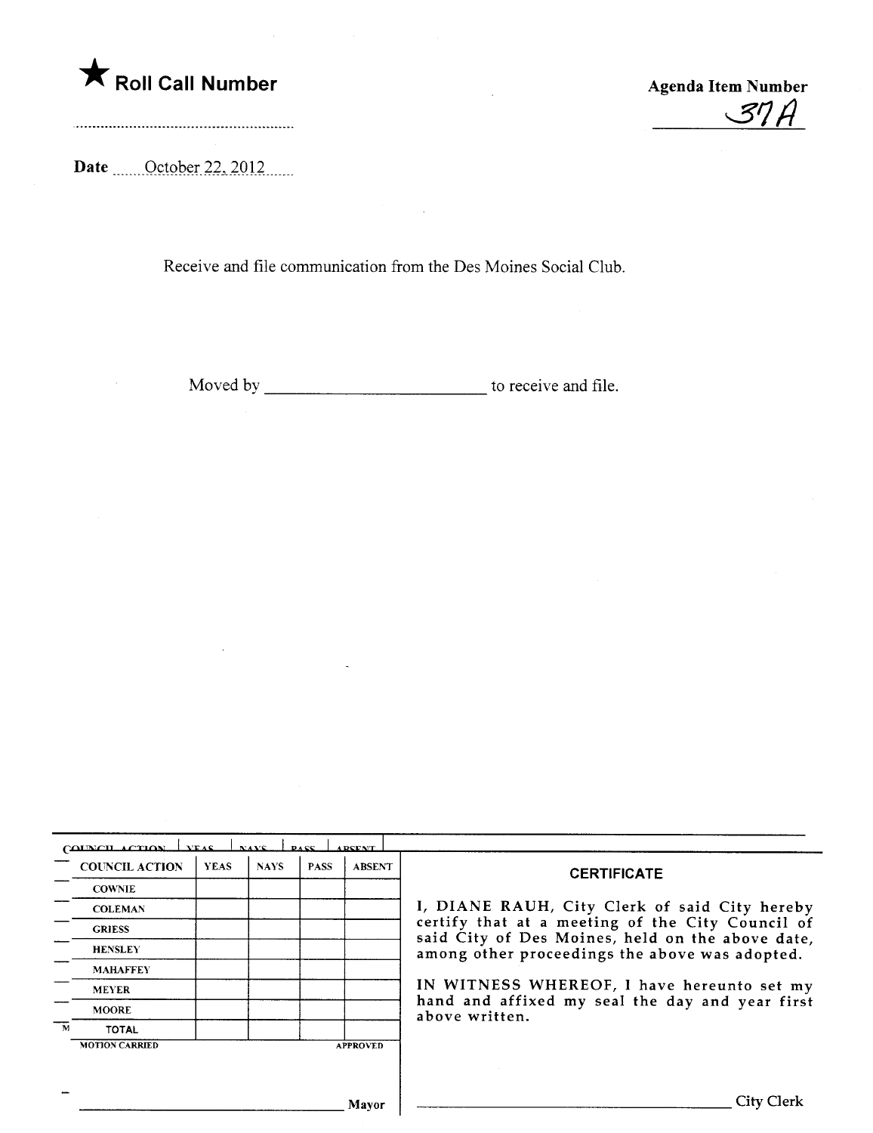

 $37A$ 

Date \_\_\_\_\_ October 22, 2012

 $\bar{\tau}$ 

Receive and file communication from the Des Moines Social Club.

Moved by to receive and file.

| <b>COUNCIL ACTION</b> | <b>YEAS</b> | <b>NAYS</b> | <b>PASS</b> | <b>ABSENT</b>   | <b>CERTIFICATE</b>                                                                                                                                                                                                                                                                                                         |
|-----------------------|-------------|-------------|-------------|-----------------|----------------------------------------------------------------------------------------------------------------------------------------------------------------------------------------------------------------------------------------------------------------------------------------------------------------------------|
| <b>COWNIE</b>         |             |             |             |                 |                                                                                                                                                                                                                                                                                                                            |
| <b>COLEMAN</b>        |             |             |             |                 | I, DIANE RAUH, City Clerk of said City hereby<br>certify that at a meeting of the City Council of<br>said City of Des Moines, held on the above date,<br>among other proceedings the above was adopted.<br>IN WITNESS WHEREOF, I have hereunto set my<br>hand and affixed my seal the day and year first<br>above written. |
| <b>GRIESS</b>         |             |             |             |                 |                                                                                                                                                                                                                                                                                                                            |
| <b>HENSLEY</b>        |             |             |             |                 |                                                                                                                                                                                                                                                                                                                            |
| <b>MAHAFFEY</b>       |             |             |             |                 |                                                                                                                                                                                                                                                                                                                            |
| <b>MEYER</b>          |             |             |             |                 |                                                                                                                                                                                                                                                                                                                            |
| <b>MOORE</b>          |             |             |             |                 |                                                                                                                                                                                                                                                                                                                            |
| TOTAL                 |             |             |             |                 |                                                                                                                                                                                                                                                                                                                            |
| <b>MOTION CARRIED</b> |             |             |             | <b>APPROVED</b> |                                                                                                                                                                                                                                                                                                                            |
|                       |             |             |             |                 |                                                                                                                                                                                                                                                                                                                            |
|                       |             |             |             | Mayor           | City Clerk                                                                                                                                                                                                                                                                                                                 |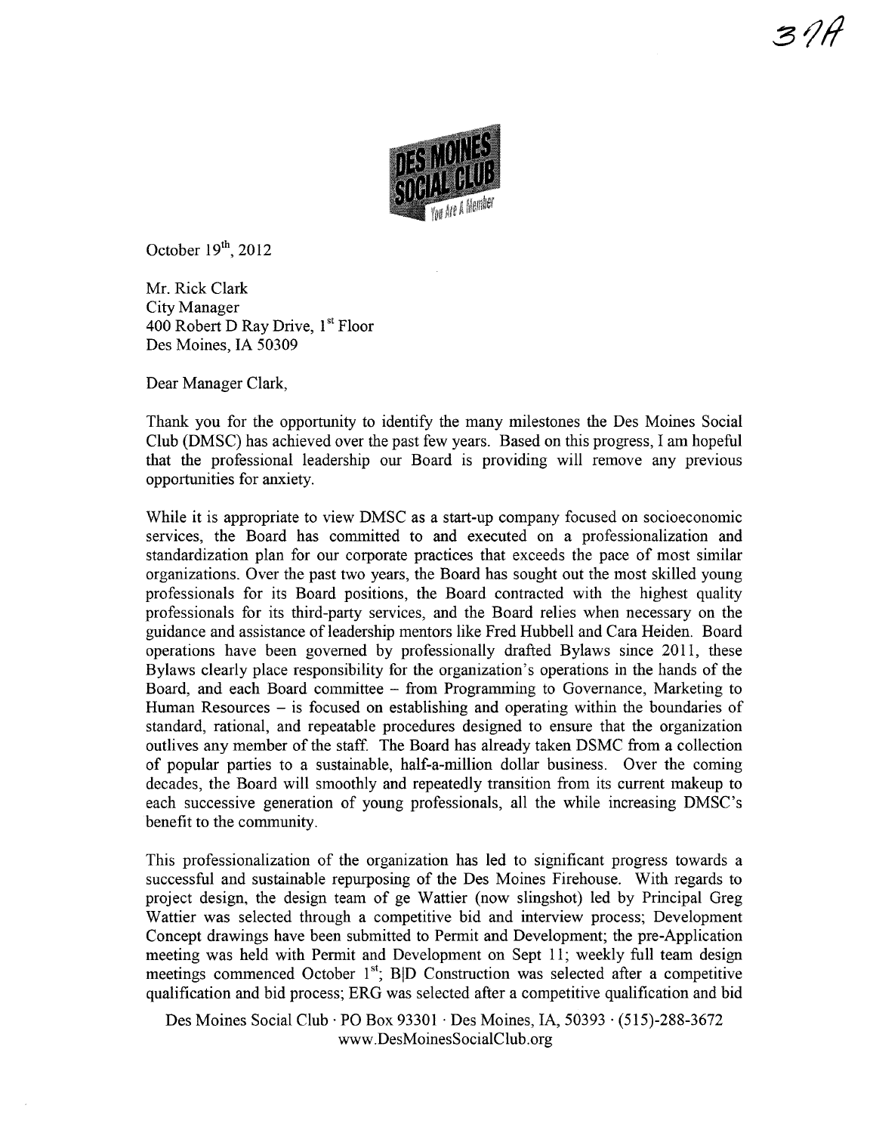

October  $19<sup>th</sup>$ , 2012

Mr. Rick Clark City Manager 400 Robert D Ray Drive, 1<sup>st</sup> Floor Des Moines, IA 50309

Dear Manager Clark,

Thank you for the opportunity to identify the many milestones the Des Moines Social Club (DMSC) has achieved over the past few years. Based on this progress, I am hopeful that the professional leadership our Board is providing will remove any previous opportunities for anxiety.

While it is appropriate to view DMSC as a start-up company focused on socioeconomic services, the Board has committed to and executed on a professionalization and standardization plan for our corporate practices that exceeds the pace of most similar organizations. Over the past two years, the Board has sought out the most skilled young professionals for its Board positions, the Board contracted with the highest quality professionals for its third-party services, and the Board relies when necessary on the guidance and assistance ofleadership mentors like Fred Hubbell and Cara Heiden. Board operations have been governed by professionally drafted Bylaws since 2011, these Bylaws clearly place responsibility for the organization's operations in the hands of the Board, and each Board committee - from Programming to Governance, Marketing to Human Resources  $-$  is focused on establishing and operating within the boundaries of standard, rational, and repeatable procedures designed to ensure that the organization outlives any member of the staff. The Board has already taken DSMC from a collection of popular parties to a sustainable, half-a-million dollar business. Over the coming decades, the Board will smoothly and repeatedly transition from its current makeup to each successive generation of young professionals, all the while increasing DMSC's benefit to the community.

This professionalization of the organization has led to significant progress towards a successful and sustainable repurosing of the Des Moines Firehouse. With regards to project design, the design team of ge Wattier (now slingshot) led by Principal Greg Wattier was selected through a competitive bid and interview process; Development Concept drawings have been submitted to Permit and Development; the pre-Application meeting was held with Permit and Development on Sept 11; weekly full team design meetings commenced October  $1<sup>st</sup>$ ; B|D Construction was selected after a competitive qualification and bid process; ERG was selected after a competitive qualification and bid

Des Moines Social Club · PO Box 93301 · Des Moines, IA, 50393 · (515)-288-3672 www.DesMoinesSociaIClub.org